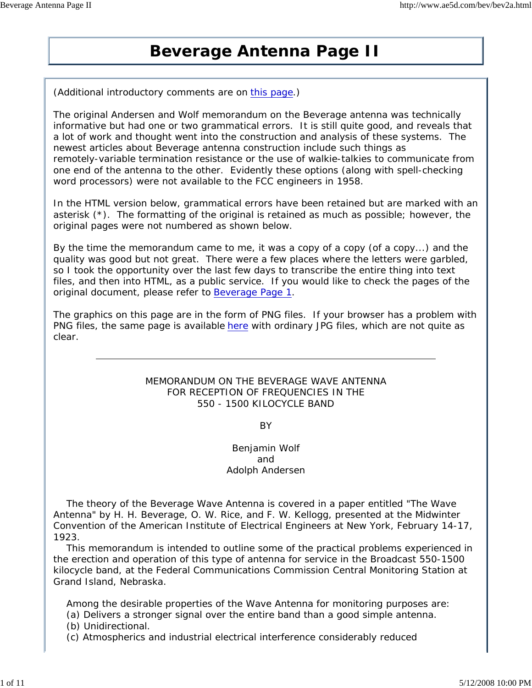# **Beverage Antenna Page II**

(Additional introductory comments are on this page.)

The original Andersen and Wolf memorandum on the Beverage antenna was technically informative but had one or two grammatical errors. It is still quite good, and reveals that a lot of work and thought went into the construction and analysis of these systems. The newest articles about Beverage antenna construction include such things as remotely-variable termination resistance or the use of walkie-talkies to communicate from one end of the antenna to the other. Evidently these options (along with spell-checking word processors) were not available to the FCC engineers in 1958.

In the HTML version below, grammatical errors have been retained but are marked with an asterisk (\*). The formatting of the original is retained as much as possible; however, the original pages were not numbered as shown below.

By the time the memorandum came to me, it was a copy of a copy (of a copy...) and the quality was good but not great. There were a few places where the letters were garbled, so I took the opportunity over the last few days to transcribe the entire thing into text files, and then into HTML, as a public service. If you would like to check the pages of the original document, please refer to Beverage Page 1.

The graphics on this page are in the form of PNG files. If your browser has a problem with PNG files, the same page is available here with ordinary JPG files, which are not quite as clear.

# MEMORANDUM ON THE BEVERAGE WAVE ANTENNA FOR RECEPTION OF FREQUENCIES IN THE 550 - 1500 KILOCYCLE BAND

BY

# Benjamin Wolf and Adolph Andersen

 The theory of the Beverage Wave Antenna is covered in a paper entitled "The Wave Antenna" by H. H. Beverage, O. W. Rice, and F. W. Kellogg, presented at the Midwinter Convention of the American Institute of Electrical Engineers at New York, February 14-17, 1923.

 This memorandum is intended to outline some of the practical problems experienced in the erection and operation of this type of antenna for service in the Broadcast 550-1500 kilocycle band, at the Federal Communications Commission Central Monitoring Station at Grand Island, Nebraska.

Among the desirable properties of the Wave Antenna for monitoring purposes are:

(a) Delivers a stronger signal over the entire band than a good simple antenna.

(b) Unidirectional.

(c) Atmospherics and industrial electrical interference considerably reduced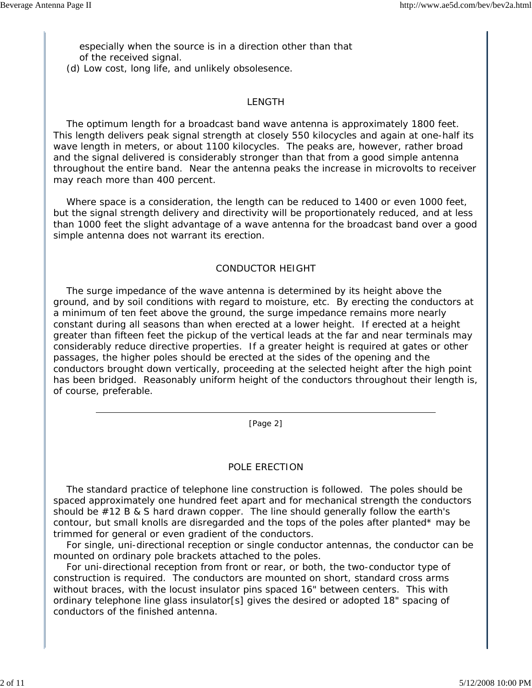especially when the source is in a direction other than that of the received signal.

(d) Low cost, long life, and unlikely obsolesence.

## LENGTH

 The optimum length for a broadcast band wave antenna is approximately 1800 feet. This length delivers peak signal strength at closely 550 kilocycles and again at one-half its wave length in meters, or about 1100 kilocycles. The peaks are, however, rather broad and the signal delivered is considerably stronger than that from a good simple antenna throughout the entire band. Near the antenna peaks the increase in microvolts to receiver may reach more than 400 percent.

 Where space is a consideration, the length can be reduced to 1400 or even 1000 feet, but the signal strength delivery and directivity will be proportionately reduced, and at less than 1000 feet the slight advantage of a wave antenna for the broadcast band over a good simple antenna does not warrant its erection.

## CONDUCTOR HEIGHT

 The surge impedance of the wave antenna is determined by its height above the ground, and by soil conditions with regard to moisture, etc. By erecting the conductors at a minimum of ten feet above the ground, the surge impedance remains more nearly constant during all seasons than when erected at a lower height. If erected at a height greater than fifteen feet the pickup of the vertical leads at the far and near terminals may considerably reduce directive properties. If a greater height is required at gates or other passages, the higher poles should be erected at the sides of the opening and the conductors brought down vertically, proceeding at the selected height after the high point has been bridged. Reasonably uniform height of the conductors throughout their length is, of course, preferable.

[Page 2]

#### POLE ERECTION

 The standard practice of telephone line construction is followed. The poles should be spaced approximately one hundred feet apart and for mechanical strength the conductors should be #12 B & S hard drawn copper. The line should generally follow the earth's contour, but small knolls are disregarded and the tops of the poles after planted\* may be trimmed for general or even gradient of the conductors.

 For single, uni-directional reception or single conductor antennas, the conductor can be mounted on ordinary pole brackets attached to the poles.

 For uni-directional reception from front or rear, or both, the two-conductor type of construction is required. The conductors are mounted on short, standard cross arms without braces, with the locust insulator pins spaced 16" between centers. This with ordinary telephone line glass insulator[s] gives the desired or adopted 18" spacing of conductors of the finished antenna.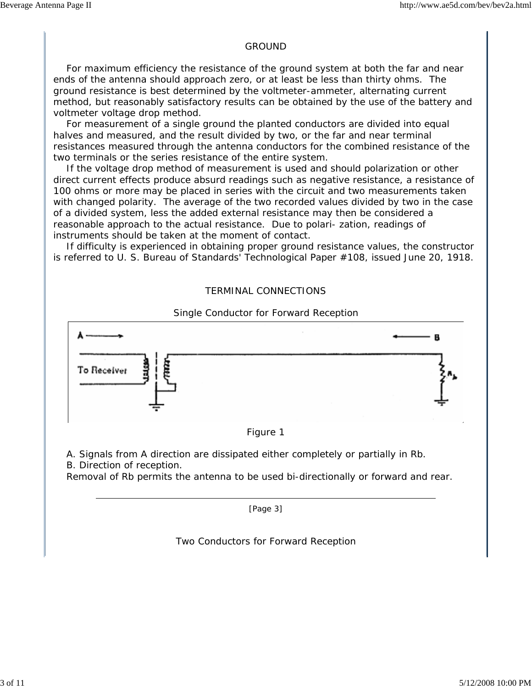#### GROUND

 For maximum efficiency the resistance of the ground system at both the far and near ends of the antenna should approach zero, or at least be less than thirty ohms. The ground resistance is best determined by the voltmeter-ammeter, alternating current method, but reasonably satisfactory results can be obtained by the use of the battery and voltmeter voltage drop method.

 For measurement of a single ground the planted conductors are divided into equal halves and measured, and the result divided by two, or the far and near terminal resistances measured through the antenna conductors for the combined resistance of the two terminals or the series resistance of the entire system.

 If the voltage drop method of measurement is used and should polarization or other direct current effects produce absurd readings such as negative resistance, a resistance of 100 ohms or more may be placed in series with the circuit and two measurements taken with changed polarity. The average of the two recorded values divided by two in the case of a divided system, less the added external resistance may then be considered a reasonable approach to the actual resistance. Due to polari- zation, readings of instruments should be taken at the moment of contact.

 If difficulty is experienced in obtaining proper ground resistance values, the constructor is referred to U. S. Bureau of Standards' Technological Paper #108, issued June 20, 1918.

# TERMINAL CONNECTIONS







A. Signals from A direction are dissipated either completely or partially in Rb.

B. Direction of reception.

Removal of Rb permits the antenna to be used bi-directionally or forward and rear.

[Page 3]

Two Conductors for Forward Reception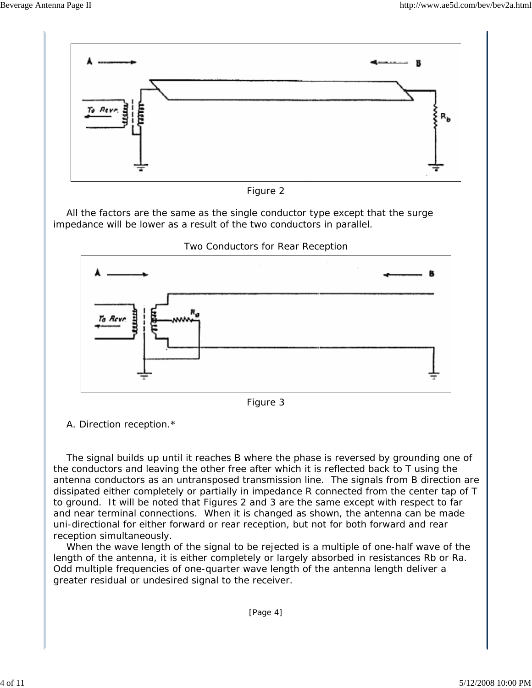

Figure 2

 All the factors are the same as the single conductor type except that the surge impedance will be lower as a result of the two conductors in parallel.



Two Conductors for Rear Reception



A. Direction reception.\*

 The signal builds up until it reaches B where the phase is reversed by grounding one of the conductors and leaving the other free after which it is reflected back to T using the antenna conductors as an untransposed transmission line. The signals from B direction are dissipated either completely or partially in impedance R connected from the center tap of T to ground. It will be noted that Figures 2 and 3 are the same except with respect to far and near terminal connections. When it is changed as shown, the antenna can be made uni-directional for either forward or rear reception, but not for both forward and rear reception simultaneously.

 When the wave length of the signal to be rejected is a multiple of one-half wave of the length of the antenna, it is either completely or largely absorbed in resistances Rb or Ra. Odd multiple frequencies of one-quarter wave length of the antenna length deliver a greater residual or undesired signal to the receiver.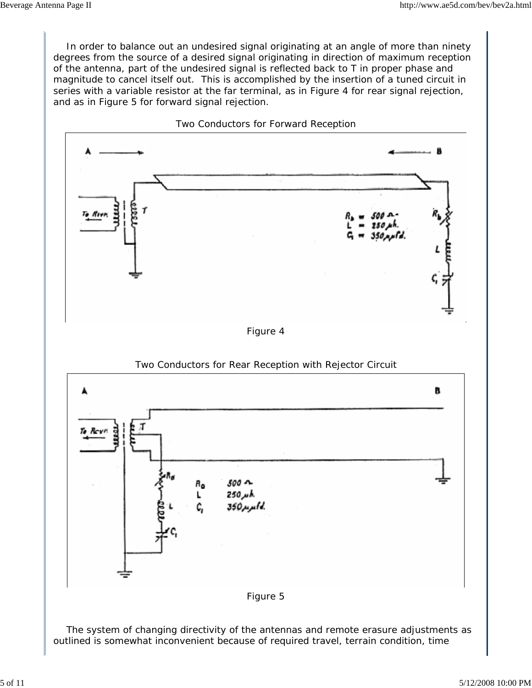In order to balance out an undesired signal originating at an angle of more than ninety degrees from the source of a desired signal originating in direction of maximum reception of the antenna, part of the undesired signal is reflected back to T in proper phase and magnitude to cancel itself out. This is accomplished by the insertion of a tuned circuit in series with a variable resistor at the far terminal, as in Figure 4 for rear signal rejection, and as in Figure 5 for forward signal rejection.

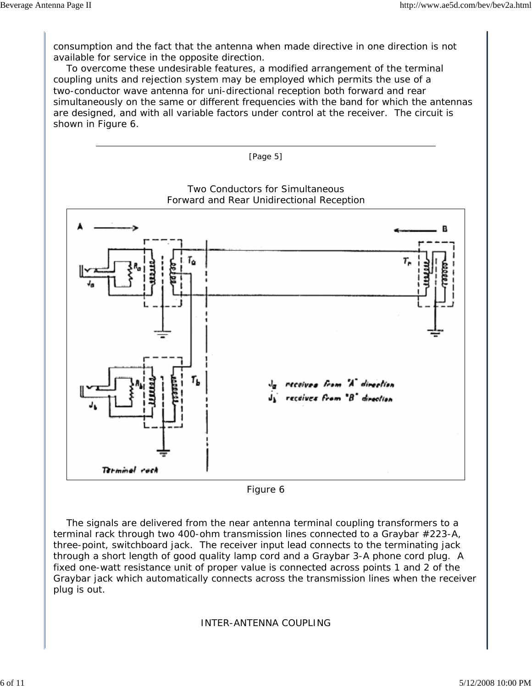consumption and the fact that the antenna when made directive in one direction is not available for service in the opposite direction.

 To overcome these undesirable features, a modified arrangement of the terminal coupling units and rejection system may be employed which permits the use of a two-conductor wave antenna for uni-directional reception both forward and rear simultaneously on the same or different frequencies with the band for which the antennas are designed, and with all variable factors under control at the receiver. The circuit is shown in Figure 6.



Figure 6

 The signals are delivered from the near antenna terminal coupling transformers to a terminal rack through two 400-ohm transmission lines connected to a Graybar #223-A, three-point, switchboard jack. The receiver input lead connects to the terminating jack through a short length of good quality lamp cord and a Graybar 3-A phone cord plug. A fixed one-watt resistance unit of proper value is connected across points 1 and 2 of the Graybar jack which automatically connects across the transmission lines when the receiver plug is out.

INTER-ANTENNA COUPLING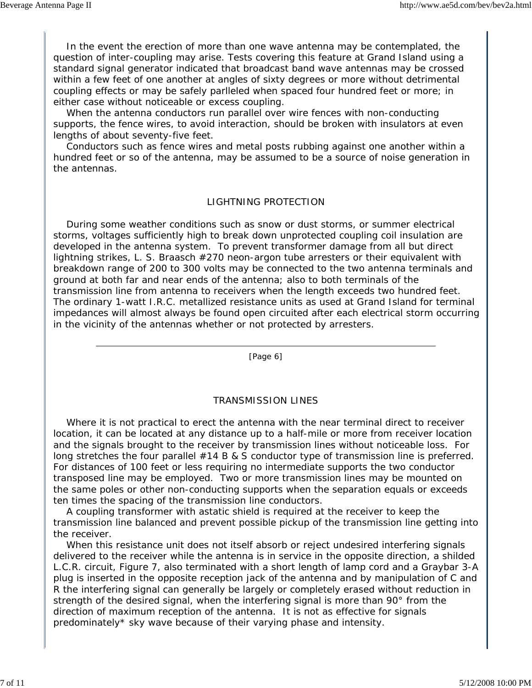In the event the erection of more than one wave antenna may be contemplated, the question of inter-coupling may arise. Tests covering this feature at Grand Island using a standard signal generator indicated that broadcast band wave antennas may be crossed within a few feet of one another at angles of sixty degrees or more without detrimental coupling effects or may be safely parlleled when spaced four hundred feet or more; in either case without noticeable or excess coupling.

 When the antenna conductors run parallel over wire fences with non-conducting supports, the fence wires, to avoid interaction, should be broken with insulators at even lengths of about seventy-five feet.

 Conductors such as fence wires and metal posts rubbing against one another within a hundred feet or so of the antenna, may be assumed to be a source of noise generation in the antennas.

## LIGHTNING PROTECTION

 During some weather conditions such as snow or dust storms, or summer electrical storms, voltages sufficiently high to break down unprotected coupling coil insulation are developed in the antenna system. To prevent transformer damage from all but direct lightning strikes, L. S. Braasch #270 neon-argon tube arresters or their equivalent with breakdown range of 200 to 300 volts may be connected to the two antenna terminals and ground at both far and near ends of the antenna; also to both terminals of the transmission line from antenna to receivers when the length exceeds two hundred feet. The ordinary 1-watt I.R.C. metallized resistance units as used at Grand Island for terminal impedances will almost always be found open circuited after each electrical storm occurring in the vicinity of the antennas whether or not protected by arresters.

[Page 6]

# TRANSMISSION LINES

 Where it is not practical to erect the antenna with the near terminal direct to receiver location, it can be located at any distance up to a half-mile or more from receiver location and the signals brought to the receiver by transmission lines without noticeable loss. For long stretches the four parallel #14 B & S conductor type of transmission line is preferred. For distances of 100 feet or less requiring no intermediate supports the two conductor transposed line may be employed. Two or more transmission lines may be mounted on the same poles or other non-conducting supports when the separation equals or exceeds ten times the spacing of the transmission line conductors.

 A coupling transformer with astatic shield is required at the receiver to keep the transmission line balanced and prevent possible pickup of the transmission line getting into the receiver.

 When this resistance unit does not itself absorb or reject undesired interfering signals delivered to the receiver while the antenna is in service in the opposite direction, a shilded L.C.R. circuit, Figure 7, also terminated with a short length of lamp cord and a Graybar 3-A plug is inserted in the opposite reception jack of the antenna and by manipulation of C and R the interfering signal can generally be largely or completely erased without reduction in strength of the desired signal, when the interfering signal is more than 90° from the direction of maximum reception of the antenna. It is not as effective for signals predominately\* sky wave because of their varying phase and intensity.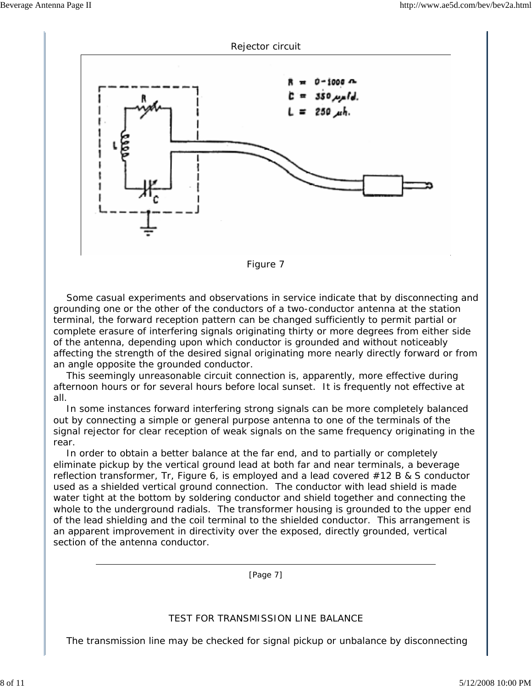



 Some casual experiments and observations in service indicate that by disconnecting and grounding one or the other of the conductors of a two-conductor antenna at the station terminal, the forward reception pattern can be changed sufficiently to permit partial or complete erasure of interfering signals originating thirty or more degrees from either side of the antenna, depending upon which conductor is grounded and without noticeably affecting the strength of the desired signal originating more nearly directly forward or from an angle opposite the grounded conductor.

 This seemingly unreasonable circuit connection is, apparently, more effective during afternoon hours or for several hours before local sunset. It is frequently not effective at all.

 In some instances forward interfering strong signals can be more completely balanced out by connecting a simple or general purpose antenna to one of the terminals of the signal rejector for clear reception of weak signals on the same frequency originating in the rear.

 In order to obtain a better balance at the far end, and to partially or completely eliminate pickup by the vertical ground lead at both far and near terminals, a beverage reflection transformer, Tr, Figure 6, is employed and a lead covered #12 B & S conductor used as a shielded vertical ground connection. The conductor with lead shield is made water tight at the bottom by soldering conductor and shield together and connecting the whole to the underground radials. The transformer housing is grounded to the upper end of the lead shielding and the coil terminal to the shielded conductor. This arrangement is an apparent improvement in directivity over the exposed, directly grounded, vertical section of the antenna conductor.

[Page 7]

# TEST FOR TRANSMISSION LINE BALANCE

The transmission line may be checked for signal pickup or unbalance by disconnecting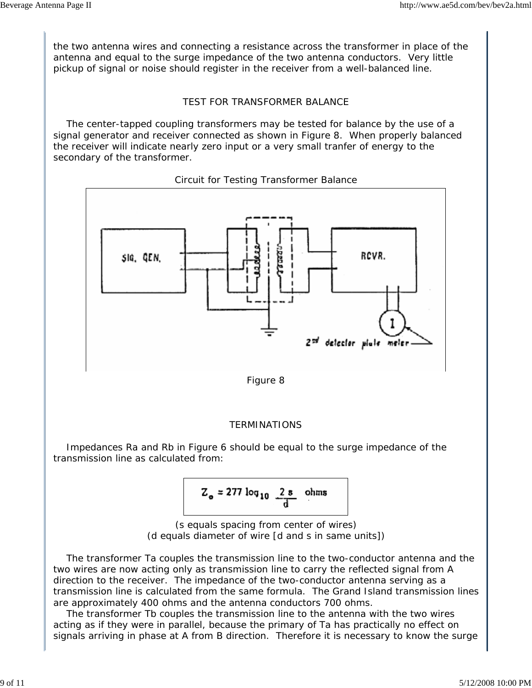the two antenna wires and connecting a resistance across the transformer in place of the antenna and equal to the surge impedance of the two antenna conductors. Very little pickup of signal or noise should register in the receiver from a well-balanced line.

# TEST FOR TRANSFORMER BALANCE

 The center-tapped coupling transformers may be tested for balance by the use of a signal generator and receiver connected as shown in Figure 8. When properly balanced the receiver will indicate nearly zero input or a very small tranfer of energy to the secondary of the transformer.



Circuit for Testing Transformer Balance



# **TERMINATIONS**

 Impedances Ra and Rb in Figure 6 should be equal to the surge impedance of the transmission line as calculated from:

$$
Z_o = 277 \log_{10} \frac{2 \text{ s}}{d} \text{ ohms}
$$

(s equals spacing from center of wires) (d equals diameter of wire [d and s in same units])

 The transformer Ta couples the transmission line to the two-conductor antenna and the two wires are now acting only as transmission line to carry the reflected signal from A direction to the receiver. The impedance of the two-conductor antenna serving as a transmission line is calculated from the same formula. The Grand Island transmission lines are approximately 400 ohms and the antenna conductors 700 ohms.

 The transformer Tb couples the transmission line to the antenna with the two wires acting as if they were in parallel, because the primary of Ta has practically no effect on signals arriving in phase at A from B direction. Therefore it is necessary to know the surge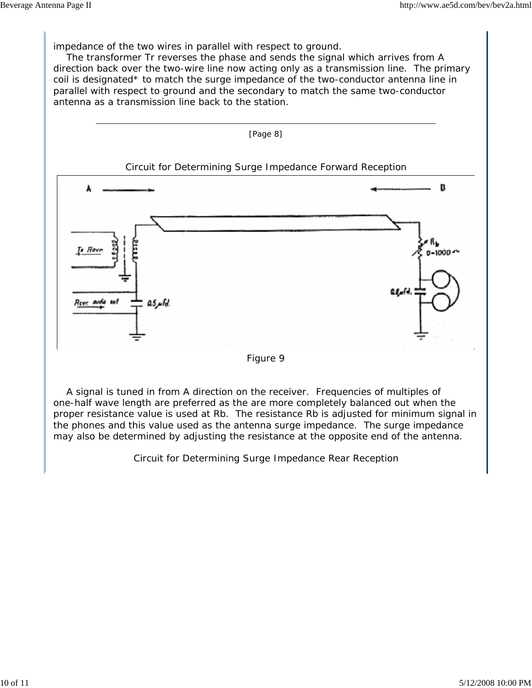impedance of the two wires in parallel with respect to ground.

 The transformer Tr reverses the phase and sends the signal which arrives from A direction back over the two-wire line now acting only as a transmission line. The primary coil is designated\* to match the surge impedance of the two-conductor antenna line in parallel with respect to ground and the secondary to match the same two-conductor antenna as a transmission line back to the station.





 A signal is tuned in from A direction on the receiver. Frequencies of multiples of one-half wave length are preferred as the are more completely balanced out when the proper resistance value is used at Rb. The resistance Rb is adjusted for minimum signal in the phones and this value used as the antenna surge impedance. The surge impedance may also be determined by adjusting the resistance at the opposite end of the antenna.

Circuit for Determining Surge Impedance Rear Reception